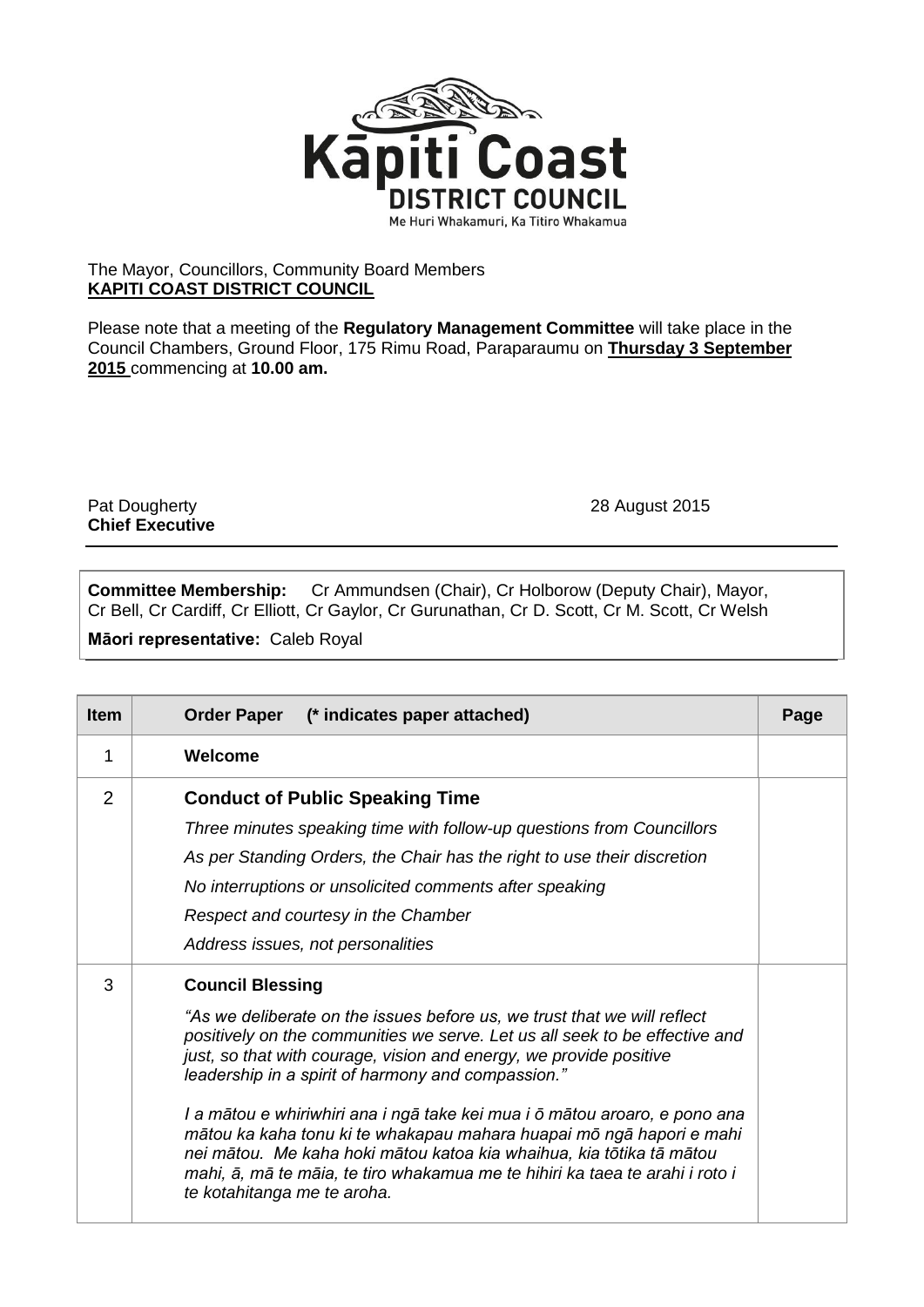

## The Mayor, Councillors, Community Board Members **KAPITI COAST DISTRICT COUNCIL**

Please note that a meeting of the **Regulatory Management Committee** will take place in the Council Chambers, Ground Floor, 175 Rimu Road, Paraparaumu on **Thursday 3 September 2015** commencing at **10.00 am.**

Pat Dougherty 28 August 2015 **Chief Executive**

**Committee Membership:** Cr Ammundsen (Chair), Cr Holborow (Deputy Chair), Mayor, Cr Bell, Cr Cardiff, Cr Elliott, Cr Gaylor, Cr Gurunathan, Cr D. Scott, Cr M. Scott, Cr Welsh

**Māori representative:** Caleb Royal

| <b>Item</b> | (* indicates paper attached)<br><b>Order Paper</b>                                                                                                                                                                                                                                                                                                                                                                                                                                                                                                                                                                                                          | Page |
|-------------|-------------------------------------------------------------------------------------------------------------------------------------------------------------------------------------------------------------------------------------------------------------------------------------------------------------------------------------------------------------------------------------------------------------------------------------------------------------------------------------------------------------------------------------------------------------------------------------------------------------------------------------------------------------|------|
| 1           | Welcome                                                                                                                                                                                                                                                                                                                                                                                                                                                                                                                                                                                                                                                     |      |
| 2           | <b>Conduct of Public Speaking Time</b><br>Three minutes speaking time with follow-up questions from Councillors<br>As per Standing Orders, the Chair has the right to use their discretion<br>No interruptions or unsolicited comments after speaking<br>Respect and courtesy in the Chamber<br>Address issues, not personalities                                                                                                                                                                                                                                                                                                                           |      |
| 3           | <b>Council Blessing</b><br>"As we deliberate on the issues before us, we trust that we will reflect<br>positively on the communities we serve. Let us all seek to be effective and<br>just, so that with courage, vision and energy, we provide positive<br>leadership in a spirit of harmony and compassion."<br>I a mātou e whiriwhiri ana i ngā take kei mua i ō mātou aroaro, e pono ana<br>mātou ka kaha tonu ki te whakapau mahara huapai mō ngā hapori e mahi<br>nei mātou. Me kaha hoki mātou katoa kia whaihua, kia tōtika tā mātou<br>mahi, ā, mā te māia, te tiro whakamua me te hihiri ka taea te arahi i roto i<br>te kotahitanga me te aroha. |      |